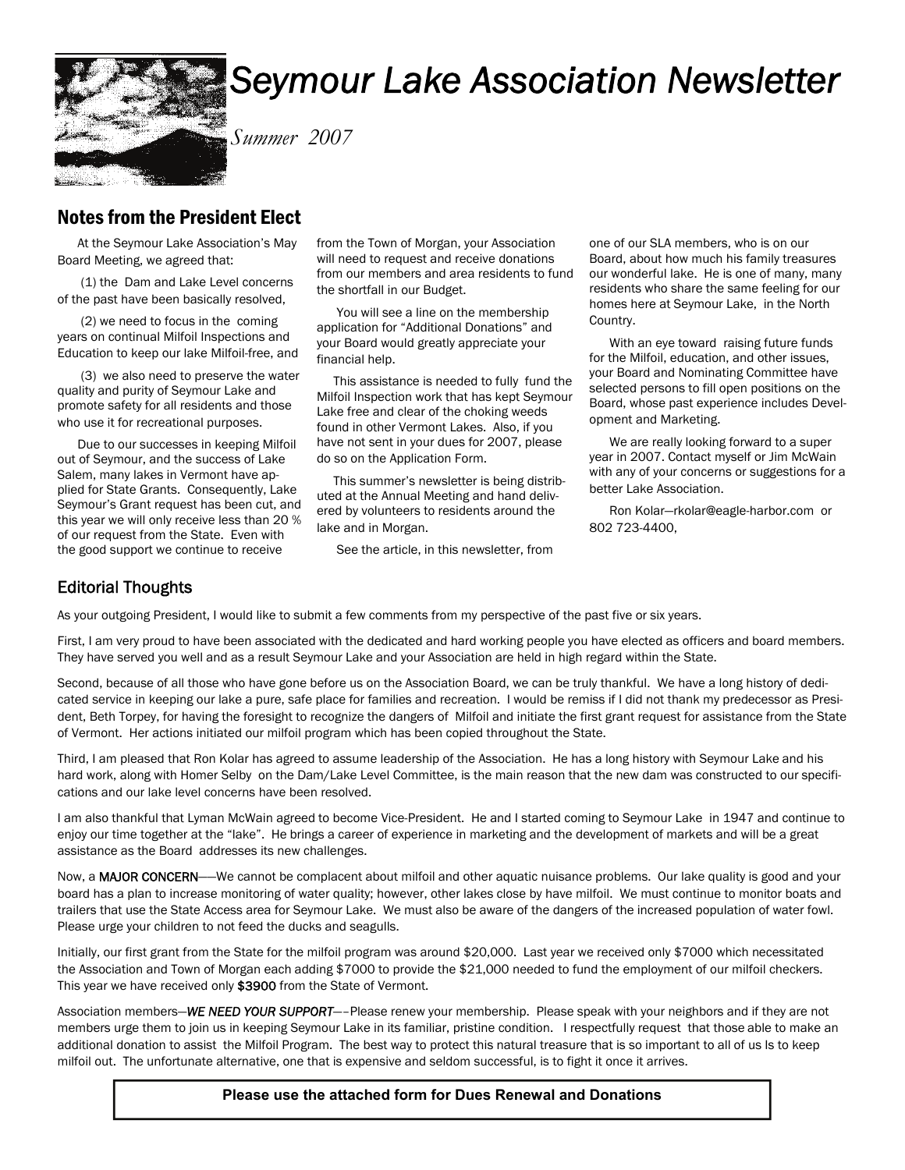

# *Seymour Lake Association Newsletter*

*Summer 2007* 

### Notes from the President Elect

 At the Seymour Lake Association's May Board Meeting, we agreed that:

 (1) the Dam and Lake Level concerns of the past have been basically resolved,

 (2) we need to focus in the coming years on continual Milfoil Inspections and Education to keep our lake Milfoil-free, and

 (3) we also need to preserve the water quality and purity of Seymour Lake and promote safety for all residents and those who use it for recreational purposes.

 Due to our successes in keeping Milfoil out of Seymour, and the success of Lake Salem, many lakes in Vermont have applied for State Grants. Consequently, Lake Seymour's Grant request has been cut, and this year we will only receive less than 20 % of our request from the State. Even with the good support we continue to receive

from the Town of Morgan, your Association will need to request and receive donations from our members and area residents to fund the shortfall in our Budget.

 You will see a line on the membership application for "Additional Donations" and your Board would greatly appreciate your financial help.

 This assistance is needed to fully fund the Milfoil Inspection work that has kept Seymour Lake free and clear of the choking weeds found in other Vermont Lakes. Also, if you have not sent in your dues for 2007, please do so on the Application Form.

 This summer's newsletter is being distributed at the Annual Meeting and hand delivered by volunteers to residents around the lake and in Morgan.

See the article, in this newsletter, from

one of our SLA members, who is on our Board, about how much his family treasures our wonderful lake. He is one of many, many residents who share the same feeling for our homes here at Seymour Lake, in the North Country.

 With an eye toward raising future funds for the Milfoil, education, and other issues, your Board and Nominating Committee have selected persons to fill open positions on the Board, whose past experience includes Development and Marketing.

 We are really looking forward to a super year in 2007. Contact myself or Jim McWain with any of your concerns or suggestions for a better Lake Association.

 Ron Kolar—rkolar@eagle-harbor.com or 802 723-4400,

#### Editorial Thoughts

As your outgoing President, I would like to submit a few comments from my perspective of the past five or six years.

First, I am very proud to have been associated with the dedicated and hard working people you have elected as officers and board members. They have served you well and as a result Seymour Lake and your Association are held in high regard within the State.

Second, because of all those who have gone before us on the Association Board, we can be truly thankful. We have a long history of dedicated service in keeping our lake a pure, safe place for families and recreation. I would be remiss if I did not thank my predecessor as President, Beth Torpey, for having the foresight to recognize the dangers of Milfoil and initiate the first grant request for assistance from the State of Vermont. Her actions initiated our milfoil program which has been copied throughout the State.

Third, I am pleased that Ron Kolar has agreed to assume leadership of the Association. He has a long history with Seymour Lake and his hard work, along with Homer Selby on the Dam/Lake Level Committee, is the main reason that the new dam was constructed to our specifications and our lake level concerns have been resolved.

I am also thankful that Lyman McWain agreed to become Vice-President. He and I started coming to Seymour Lake in 1947 and continue to enjoy our time together at the "lake". He brings a career of experience in marketing and the development of markets and will be a great assistance as the Board addresses its new challenges.

Now, a MAJOR CONCERN—We cannot be complacent about milfoil and other aquatic nuisance problems. Our lake quality is good and your board has a plan to increase monitoring of water quality; however, other lakes close by have milfoil. We must continue to monitor boats and trailers that use the State Access area for Seymour Lake. We must also be aware of the dangers of the increased population of water fowl. Please urge your children to not feed the ducks and seagulls.

Initially, our first grant from the State for the milfoil program was around \$20,000. Last year we received only \$7000 which necessitated the Association and Town of Morgan each adding \$7000 to provide the \$21,000 needed to fund the employment of our milfoil checkers. This year we have received only \$3900 from the State of Vermont.

Association members—*WE NEED YOUR SUPPORT*—–Please renew your membership. Please speak with your neighbors and if they are not members urge them to join us in keeping Seymour Lake in its familiar, pristine condition. I respectfully request that those able to make an additional donation to assist the Milfoil Program. The best way to protect this natural treasure that is so important to all of us Is to keep milfoil out. The unfortunate alternative, one that is expensive and seldom successful, is to fight it once it arrives.

#### **Please use the attached form for Dues Renewal and Donations**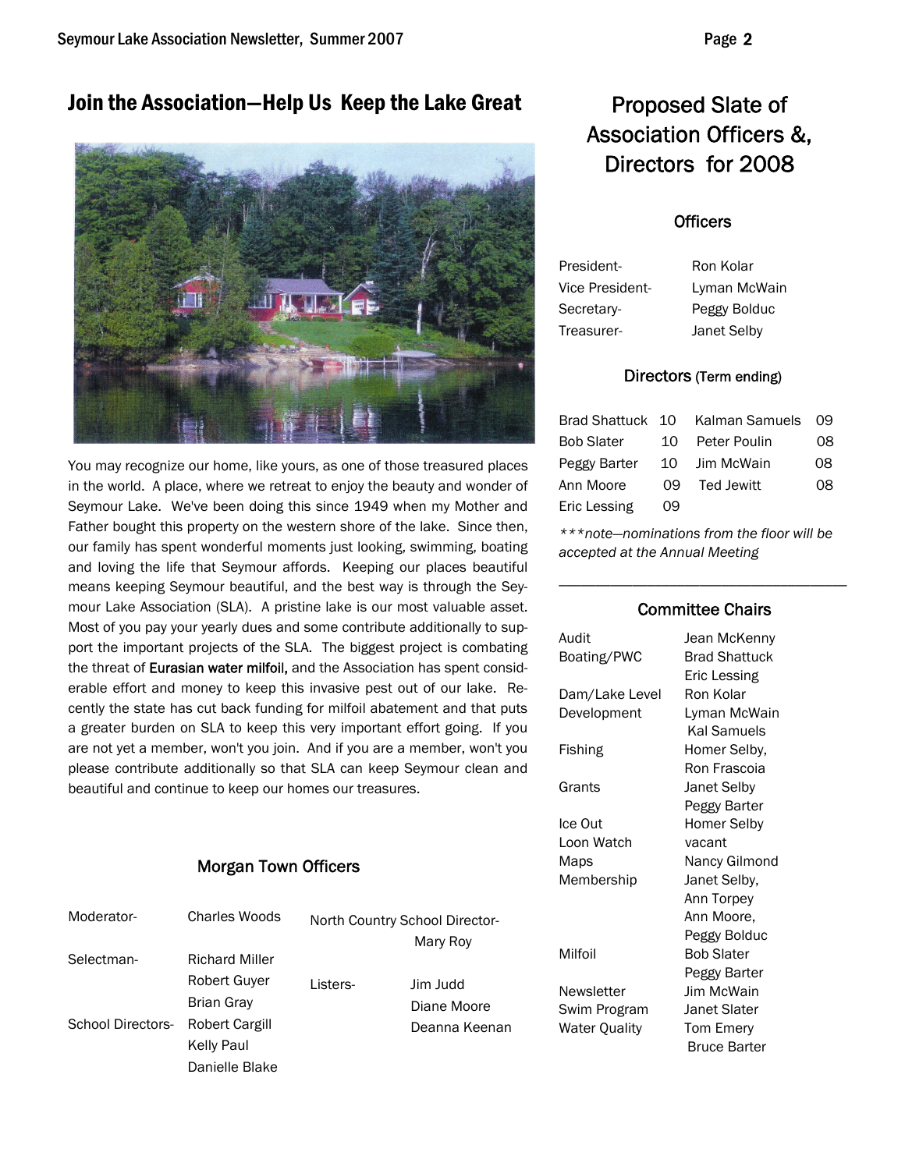## Join the Association-Help Us Keep the Lake Great Proposed Slate of



You may recognize our home, like yours, as one of those treasured places in the world. A place, where we retreat to enjoy the beauty and wonder of Seymour Lake. We've been doing this since 1949 when my Mother and Father bought this property on the western shore of the lake. Since then, our family has spent wonderful moments just looking, swimming, boating and loving the life that Seymour affords. Keeping our places beautiful means keeping Seymour beautiful, and the best way is through the Seymour Lake Association (SLA). A pristine lake is our most valuable asset. Most of you pay your yearly dues and some contribute additionally to support the important projects of the SLA. The biggest project is combating the threat of Eurasian water milfoil, and the Association has spent considerable effort and money to keep this invasive pest out of our lake. Recently the state has cut back funding for milfoil abatement and that puts a greater burden on SLA to keep this very important effort going. If you are not yet a member, won't you join. And if you are a member, won't you please contribute additionally so that SLA can keep Seymour clean and beautiful and continue to keep our homes our treasures.

#### Morgan Town Officers

| Moderator-        | Charles Woods         |          | North Country School Director- |
|-------------------|-----------------------|----------|--------------------------------|
|                   |                       |          | Mary Roy                       |
| Selectman-        | <b>Richard Miller</b> |          |                                |
|                   | <b>Robert Guver</b>   | Listers- | Jim Judd                       |
|                   | <b>Brian Gray</b>     |          | Diane Moore                    |
| School Directors- | Robert Cargill        |          | Deanna Keenan                  |
|                   | Kelly Paul            |          |                                |
|                   | Danielle Blake        |          |                                |

# Association Officers &, Directors for 2008

#### **Officers**

| President-      | Ron Kolar    |
|-----------------|--------------|
| Vice President- | Lyman McWain |
| Secretarv-      | Peggy Bolduc |
| Treasurer-      | Janet Selby  |

#### Directors (Term ending)

|                   |      | Brad Shattuck 10 Kalman Samuels 09 |    |
|-------------------|------|------------------------------------|----|
| <b>Bob Slater</b> | 10   | Peter Poulin                       | 08 |
| Peggy Barter      | 10 I | Jim McWain                         | 08 |
| Ann Moore         | 09.  | Ted Jewitt                         | 08 |
| Eric Lessing      | 09   |                                    |    |

*\*\*\*note—nominations from the floor will be accepted at the Annual Meeting* 

#### Committee Chairs

\_\_\_\_\_\_\_\_\_\_\_\_\_\_\_\_\_\_\_\_\_\_\_\_\_\_\_\_\_\_\_\_\_\_\_\_\_\_\_

| Audit          | Jean McKenny         |
|----------------|----------------------|
| Boating/PWC    | <b>Brad Shattuck</b> |
|                | Eric Lessing         |
| Dam/Lake Level | Ron Kolar            |
| Development    | Lyman McWain         |
|                | Kal Samuels          |
| Fishing        | Homer Selby,         |
|                | Ron Frascoia         |
| Grants         | Janet Selby          |
|                | Peggy Barter         |
| Ice Out        | Homer Selby          |
| Loon Watch     | vacant               |
| Maps           | Nancy Gilmond        |
| Membership     | Janet Selby,         |
|                | Ann Torpey           |
|                | Ann Moore.           |
|                | Peggy Bolduc         |
| Milfoil        | Bob Slater           |
|                | Peggy Barter         |
| Newsletter     | <b>Jim McWain</b>    |
| Swim Program   | Janet Slater         |
| Water Quality  | Tom Emery            |
|                | <b>Bruce Barter</b>  |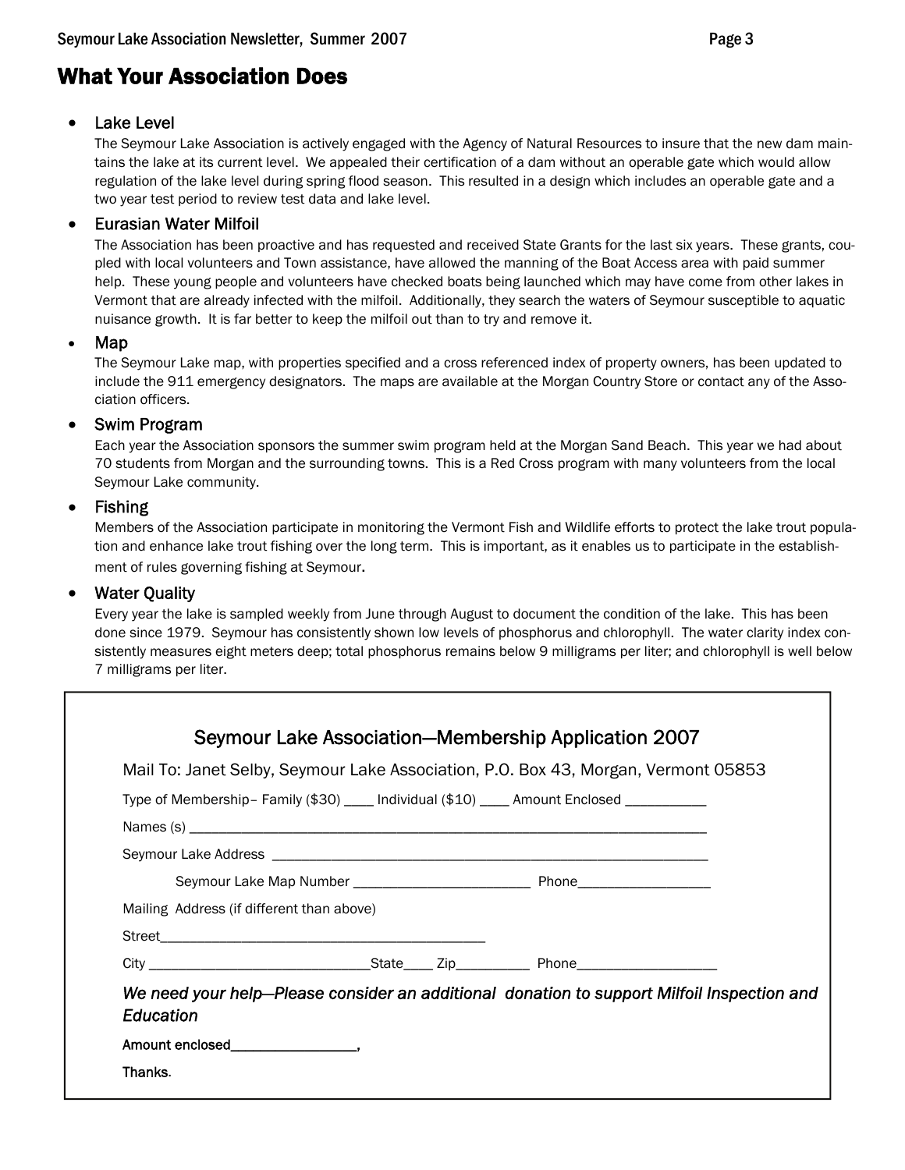## What Your Association Does

#### Lake Level

The Seymour Lake Association is actively engaged with the Agency of Natural Resources to insure that the new dam maintains the lake at its current level. We appealed their certification of a dam without an operable gate which would allow regulation of the lake level during spring flood season. This resulted in a design which includes an operable gate and a two year test period to review test data and lake level.

#### • Eurasian Water Milfoil

The Association has been proactive and has requested and received State Grants for the last six years. These grants, coupled with local volunteers and Town assistance, have allowed the manning of the Boat Access area with paid summer help. These young people and volunteers have checked boats being launched which may have come from other lakes in Vermont that are already infected with the milfoil. Additionally, they search the waters of Seymour susceptible to aquatic nuisance growth. It is far better to keep the milfoil out than to try and remove it.

#### • Map

The Seymour Lake map, with properties specified and a cross referenced index of property owners, has been updated to include the 911 emergency designators. The maps are available at the Morgan Country Store or contact any of the Association officers.

#### • Swim Program

Each year the Association sponsors the summer swim program held at the Morgan Sand Beach. This year we had about 70 students from Morgan and the surrounding towns. This is a Red Cross program with many volunteers from the local Seymour Lake community.

#### • Fishing

Members of the Association participate in monitoring the Vermont Fish and Wildlife efforts to protect the lake trout population and enhance lake trout fishing over the long term. This is important, as it enables us to participate in the establishment of rules governing fishing at Seymour.

#### **Water Quality**

Every year the lake is sampled weekly from June through August to document the condition of the lake. This has been done since 1979. Seymour has consistently shown low levels of phosphorus and chlorophyll. The water clarity index consistently measures eight meters deep; total phosphorus remains below 9 milligrams per liter; and chlorophyll is well below 7 milligrams per liter.

|                                           | Mail To: Janet Selby, Seymour Lake Association, P.O. Box 43, Morgan, Vermont 05853         |  |
|-------------------------------------------|--------------------------------------------------------------------------------------------|--|
|                                           | Type of Membership-Family (\$30) ____ Individual (\$10) ____ Amount Enclosed __________    |  |
|                                           |                                                                                            |  |
|                                           |                                                                                            |  |
|                                           |                                                                                            |  |
| Mailing Address (if different than above) |                                                                                            |  |
|                                           |                                                                                            |  |
|                                           |                                                                                            |  |
| Education                                 | We need your help-Please consider an additional donation to support Milfoil Inspection and |  |
|                                           |                                                                                            |  |